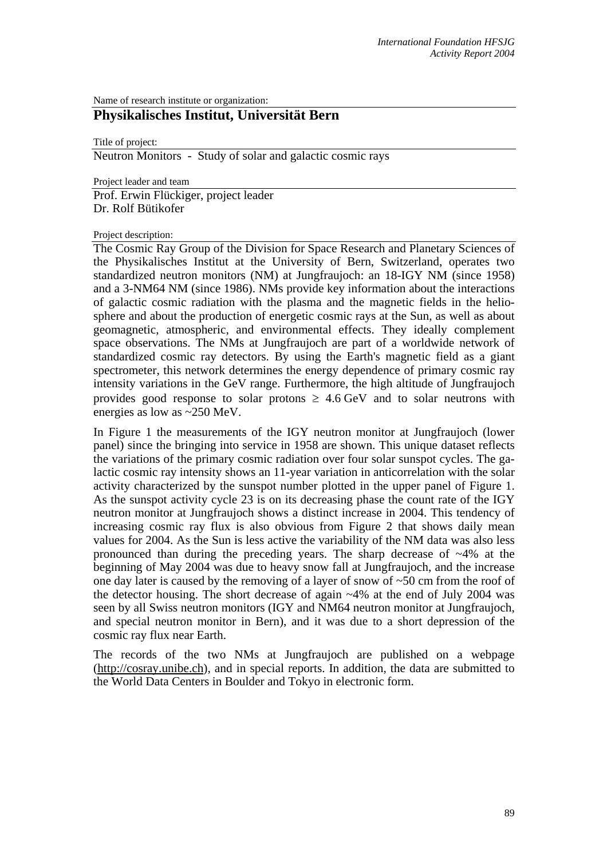Name of research institute or organization:

## **Physikalisches Institut, Universität Bern**

Title of project: Neutron Monitors - Study of solar and galactic cosmic rays

Project leader and team Prof. Erwin Flückiger, project leader Dr. Rolf Bütikofer

Project description:

The Cosmic Ray Group of the Division for Space Research and Planetary Sciences of the Physikalisches Institut at the University of Bern, Switzerland, operates two standardized neutron monitors (NM) at Jungfraujoch: an 18-IGY NM (since 1958) and a 3-NM64 NM (since 1986). NMs provide key information about the interactions of galactic cosmic radiation with the plasma and the magnetic fields in the heliosphere and about the production of energetic cosmic rays at the Sun, as well as about geomagnetic, atmospheric, and environmental effects. They ideally complement space observations. The NMs at Jungfraujoch are part of a worldwide network of standardized cosmic ray detectors. By using the Earth's magnetic field as a giant spectrometer, this network determines the energy dependence of primary cosmic ray intensity variations in the GeV range. Furthermore, the high altitude of Jungfraujoch provides good response to solar protons  $\geq 4.6$  GeV and to solar neutrons with energies as low as ~250 MeV.

In Figure 1 the measurements of the IGY neutron monitor at Jungfraujoch (lower panel) since the bringing into service in 1958 are shown. This unique dataset reflects the variations of the primary cosmic radiation over four solar sunspot cycles. The galactic cosmic ray intensity shows an 11-year variation in anticorrelation with the solar activity characterized by the sunspot number plotted in the upper panel of Figure 1. As the sunspot activity cycle 23 is on its decreasing phase the count rate of the IGY neutron monitor at Jungfraujoch shows a distinct increase in 2004. This tendency of increasing cosmic ray flux is also obvious from Figure 2 that shows daily mean values for 2004. As the Sun is less active the variability of the NM data was also less pronounced than during the preceding years. The sharp decrease of  $\sim$ 4% at the beginning of May 2004 was due to heavy snow fall at Jungfraujoch, and the increase one day later is caused by the removing of a layer of snow of ~50 cm from the roof of the detector housing. The short decrease of again ~4% at the end of July 2004 was seen by all Swiss neutron monitors (IGY and NM64 neutron monitor at Jungfraujoch, and special neutron monitor in Bern), and it was due to a short depression of the cosmic ray flux near Earth.

The records of the two NMs at Jungfraujoch are published on a webpage (http://cosray.unibe.ch), and in special reports. In addition, the data are submitted to the World Data Centers in Boulder and Tokyo in electronic form.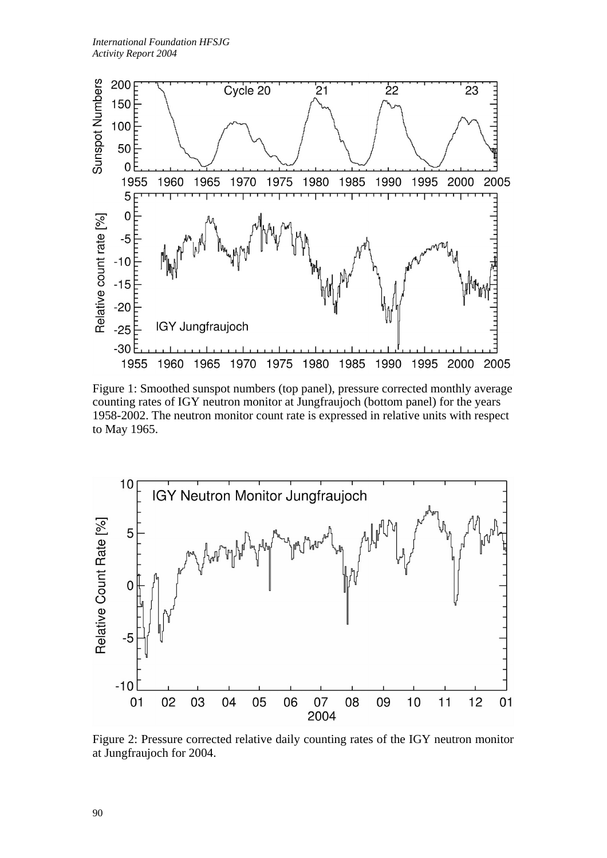

Figure 1: Smoothed sunspot numbers (top panel), pressure corrected monthly average counting rates of IGY neutron monitor at Jungfraujoch (bottom panel) for the years 1958-2002. The neutron monitor count rate is expressed in relative units with respect to May 1965.



Figure 2: Pressure corrected relative daily counting rates of the IGY neutron monitor at Jungfraujoch for 2004.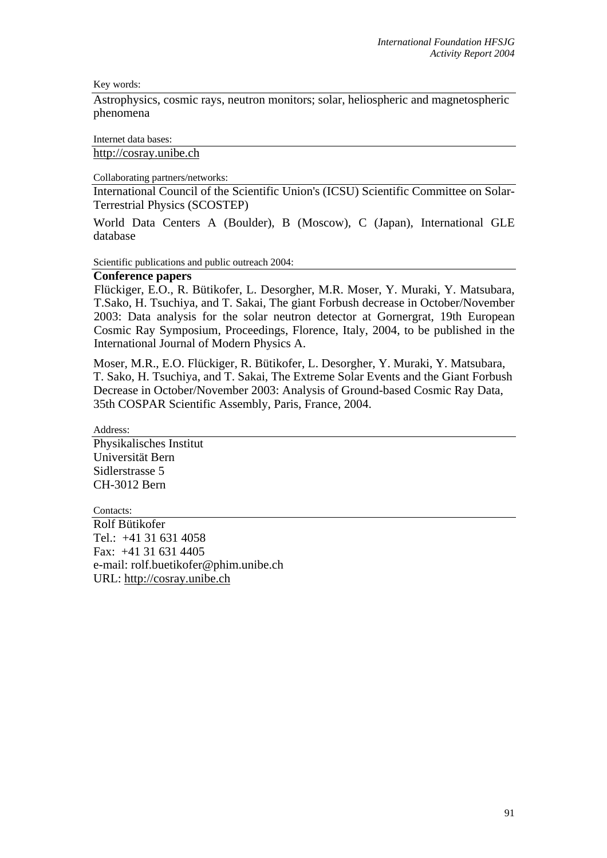Key words:

Astrophysics, cosmic rays, neutron monitors; solar, heliospheric and magnetospheric phenomena

Internet data bases:

http://cosray.unibe.ch

Collaborating partners/networks:

International Council of the Scientific Union's (ICSU) Scientific Committee on Solar-Terrestrial Physics (SCOSTEP)

World Data Centers A (Boulder), B (Moscow), C (Japan), International GLE database

Scientific publications and public outreach 2004:

## **Conference papers**

Flückiger, E.O., R. Bütikofer, L. Desorgher, M.R. Moser, Y. Muraki, Y. Matsubara, T.Sako, H. Tsuchiya, and T. Sakai, The giant Forbush decrease in October/November 2003: Data analysis for the solar neutron detector at Gornergrat, 19th European Cosmic Ray Symposium, Proceedings, Florence, Italy, 2004, to be published in the International Journal of Modern Physics A.

Moser, M.R., E.O. Flückiger, R. Bütikofer, L. Desorgher, Y. Muraki, Y. Matsubara, T. Sako, H. Tsuchiya, and T. Sakai, The Extreme Solar Events and the Giant Forbush Decrease in October/November 2003: Analysis of Ground-based Cosmic Ray Data, 35th COSPAR Scientific Assembly, Paris, France, 2004.

Address:

Physikalisches Institut Universität Bern Sidlerstrasse 5 CH-3012 Bern

Contacts:

Rolf Bütikofer Tel.: +41 31 631 4058 Fax: +41 31 631 4405 e-mail: rolf.buetikofer@phim.unibe.ch URL: http://cosray.unibe.ch